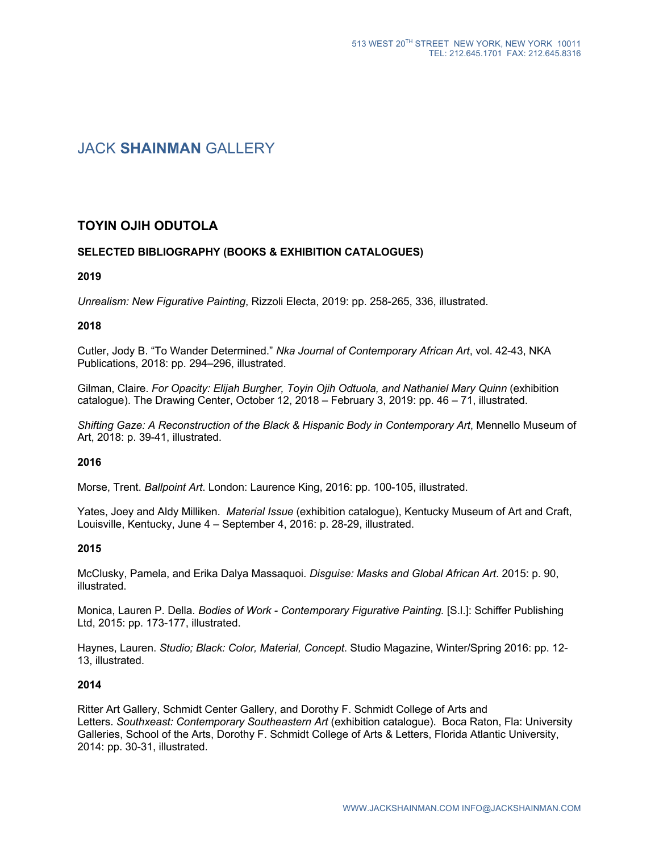# JACK **SHAINMAN** GALLERY

# **TOYIN OJIH ODUTOLA**

# **SELECTED BIBLIOGRAPHY (BOOKS & EXHIBITION CATALOGUES)**

#### **2019**

*Unrealism: New Figurative Painting*, Rizzoli Electa, 2019: pp. 258-265, 336, illustrated.

#### **2018**

Cutler, Jody B. "To Wander Determined." *Nka Journal of Contemporary African Art*, vol. 42-43, NKA Publications, 2018: pp. 294–296, illustrated.

Gilman, Claire. *For Opacity: Elijah Burgher, Toyin Ojih Odtuola, and Nathaniel Mary Quinn* (exhibition catalogue). The Drawing Center, October 12, 2018 – February 3, 2019: pp. 46 – 71, illustrated.

*Shifting Gaze: A Reconstruction of the Black & Hispanic Body in Contemporary Art*, Mennello Museum of Art, 2018: p. 39-41, illustrated.

#### **2016**

Morse, Trent. *Ballpoint Art*. London: Laurence King, 2016: pp. 100-105, illustrated.

Yates, Joey and Aldy Milliken. *Material Issue* (exhibition catalogue), Kentucky Museum of Art and Craft, Louisville, Kentucky, June 4 – September 4, 2016: p. 28-29, illustrated.

#### **2015**

McClusky, Pamela, and Erika Dalya Massaquoi. *Disguise: Masks and Global African Art*. 2015: p. 90, illustrated.

Monica, Lauren P. Della. *Bodies of Work - Contemporary Figurative Painting.* [S.l.]: Schiffer Publishing Ltd, 2015: pp. 173-177, illustrated.

Haynes, Lauren. *Studio; Black: Color, Material, Concept*. Studio Magazine, Winter/Spring 2016: pp. 12- 13, illustrated.

#### **2014**

Ritter Art Gallery, Schmidt Center Gallery, and Dorothy F. Schmidt College of Arts and Letters. *Southxeast: Contemporary Southeastern Art* (exhibition catalogue). Boca Raton, Fla: University Galleries, School of the Arts, Dorothy F. Schmidt College of Arts & Letters, Florida Atlantic University, 2014: pp. 30-31, illustrated.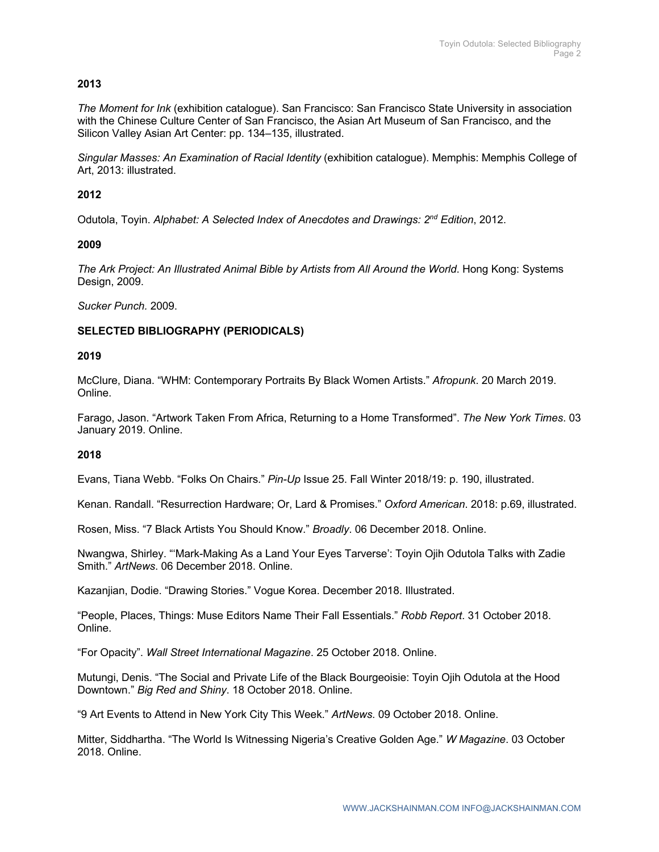# **2013**

*The Moment for Ink* (exhibition catalogue). San Francisco: San Francisco State University in association with the Chinese Culture Center of San Francisco, the Asian Art Museum of San Francisco, and the Silicon Valley Asian Art Center: pp. 134–135, illustrated.

*Singular Masses: An Examination of Racial Identity* (exhibition catalogue). Memphis: Memphis College of Art, 2013: illustrated.

# **2012**

Odutola, Toyin. *Alphabet: A Selected Index of Anecdotes and Drawings: 2nd Edition*, 2012.

# **2009**

*The Ark Project: An Illustrated Animal Bible by Artists from All Around the World*. Hong Kong: Systems Design, 2009.

*Sucker Punch.* 2009.

# **SELECTED BIBLIOGRAPHY (PERIODICALS)**

# **2019**

McClure, Diana. "WHM: Contemporary Portraits By Black Women Artists." *Afropunk*. 20 March 2019. Online.

Farago, Jason. "Artwork Taken From Africa, Returning to a Home Transformed". *The New York Times*. 03 January 2019. Online.

#### **2018**

Evans, Tiana Webb. "Folks On Chairs." *Pin-Up* Issue 25. Fall Winter 2018/19: p. 190, illustrated.

Kenan. Randall. "Resurrection Hardware; Or, Lard & Promises." *Oxford American*. 2018: p.69, illustrated.

Rosen, Miss. "7 Black Artists You Should Know." *Broadly*. 06 December 2018. Online.

Nwangwa, Shirley. "'Mark-Making As a Land Your Eyes Tarverse': Toyin Ojih Odutola Talks with Zadie Smith." *ArtNews*. 06 December 2018. Online.

Kazanjian, Dodie. "Drawing Stories." Vogue Korea. December 2018. Illustrated.

"People, Places, Things: Muse Editors Name Their Fall Essentials." *Robb Report*. 31 October 2018. Online.

"For Opacity". *Wall Street International Magazine*. 25 October 2018. Online.

Mutungi, Denis. "The Social and Private Life of the Black Bourgeoisie: Toyin Ojih Odutola at the Hood Downtown." *Big Red and Shiny*. 18 October 2018. Online.

"9 Art Events to Attend in New York City This Week." *ArtNews*. 09 October 2018. Online.

Mitter, Siddhartha. "The World Is Witnessing Nigeria's Creative Golden Age." *W Magazine*. 03 October 2018. Online.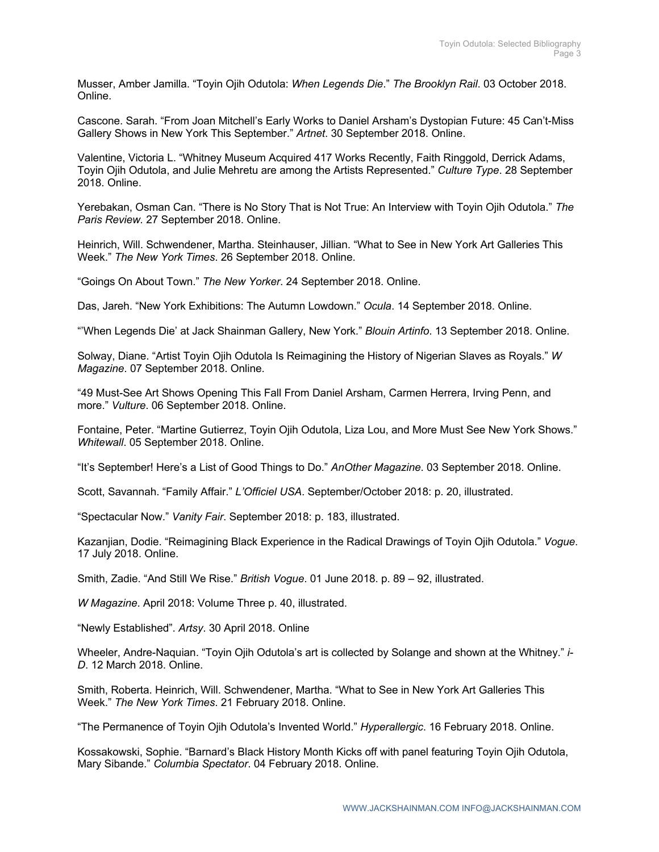Musser, Amber Jamilla. "Toyin Ojih Odutola: *When Legends Die*." *The Brooklyn Rail*. 03 October 2018. Online.

Cascone. Sarah. "From Joan Mitchell's Early Works to Daniel Arsham's Dystopian Future: 45 Can't-Miss Gallery Shows in New York This September." *Artnet*. 30 September 2018. Online.

Valentine, Victoria L. "Whitney Museum Acquired 417 Works Recently, Faith Ringgold, Derrick Adams, Toyin Ojih Odutola, and Julie Mehretu are among the Artists Represented." *Culture Type*. 28 September 2018. Online.

Yerebakan, Osman Can. "There is No Story That is Not True: An Interview with Toyin Ojih Odutola." *The Paris Review.* 27 September 2018. Online.

Heinrich, Will. Schwendener, Martha. Steinhauser, Jillian. "What to See in New York Art Galleries This Week." *The New York Times*. 26 September 2018. Online.

"Goings On About Town." *The New Yorker*. 24 September 2018. Online.

Das, Jareh. "New York Exhibitions: The Autumn Lowdown." *Ocula*. 14 September 2018. Online.

"'When Legends Die' at Jack Shainman Gallery, New York." *Blouin Artinfo*. 13 September 2018. Online.

Solway, Diane. "Artist Toyin Ojih Odutola Is Reimagining the History of Nigerian Slaves as Royals." *W Magazine*. 07 September 2018. Online.

"49 Must-See Art Shows Opening This Fall From Daniel Arsham, Carmen Herrera, Irving Penn, and more." *Vulture*. 06 September 2018. Online.

Fontaine, Peter. "Martine Gutierrez, Toyin Ojih Odutola, Liza Lou, and More Must See New York Shows." *Whitewall*. 05 September 2018. Online.

"It's September! Here's a List of Good Things to Do." *AnOther Magazine*. 03 September 2018. Online.

Scott, Savannah. "Family Affair." *L'Officiel USA*. September/October 2018: p. 20, illustrated.

"Spectacular Now." *Vanity Fair*. September 2018: p. 183, illustrated.

Kazanjian, Dodie. "Reimagining Black Experience in the Radical Drawings of Toyin Ojih Odutola." *Vogue*. 17 July 2018. Online.

Smith, Zadie. "And Still We Rise." *British Vogue*. 01 June 2018. p. 89 – 92, illustrated.

*W Magazine*. April 2018: Volume Three p. 40, illustrated.

"Newly Established". *Artsy*. 30 April 2018. Online

Wheeler, Andre-Naquian. "Toyin Ojih Odutola's art is collected by Solange and shown at the Whitney." *i-D*. 12 March 2018. Online.

Smith, Roberta. Heinrich, Will. Schwendener, Martha. "What to See in New York Art Galleries This Week." *The New York Times*. 21 February 2018. Online.

"The Permanence of Toyin Ojih Odutola's Invented World." *Hyperallergic*. 16 February 2018. Online.

Kossakowski, Sophie. "Barnard's Black History Month Kicks off with panel featuring Toyin Ojih Odutola, Mary Sibande." *Columbia Spectator*. 04 February 2018. Online.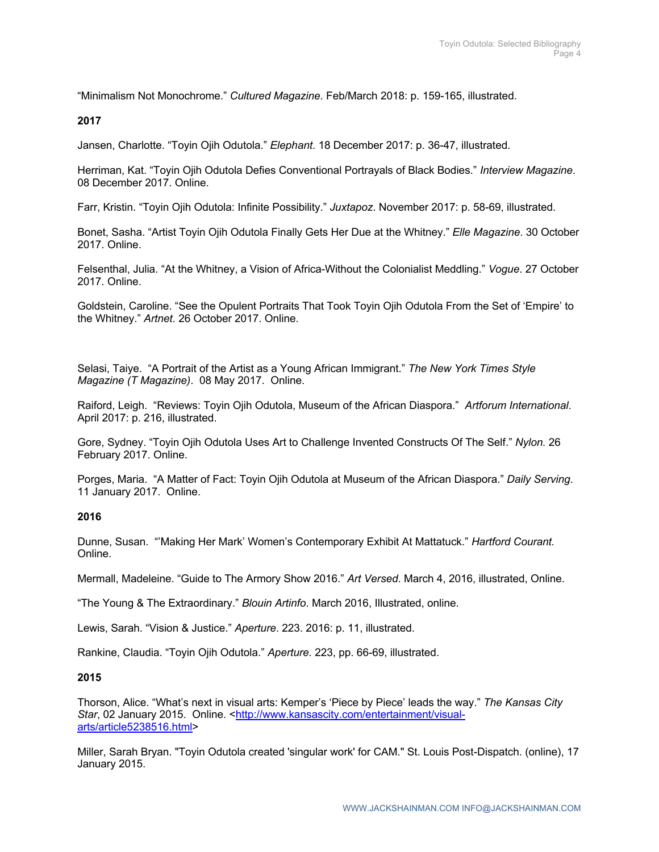"Minimalism Not Monochrome." *Cultured Magazine*. Feb/March 2018: p. 159-165, illustrated.

**2017**

Jansen, Charlotte. "Toyin Ojih Odutola." *Elephant*. 18 December 2017: p. 36-47, illustrated.

Herriman, Kat. "Toyin Ojih Odutola Defies Conventional Portrayals of Black Bodies." *Interview Magazine*. 08 December 2017. Online.

Farr, Kristin. "Toyin Ojih Odutola: Infinite Possibility." *Juxtapoz*. November 2017: p. 58-69, illustrated.

Bonet, Sasha. "Artist Toyin Ojih Odutola Finally Gets Her Due at the Whitney." *Elle Magazine*. 30 October 2017. Online.

Felsenthal, Julia. "At the Whitney, a Vision of Africa-Without the Colonialist Meddling." *Vogue*. 27 October 2017. Online.

Goldstein, Caroline. "See the Opulent Portraits That Took Toyin Ojih Odutola From the Set of 'Empire' to the Whitney." *Artnet*. 26 October 2017. Online.

Selasi, Taiye. "A Portrait of the Artist as a Young African Immigrant." *The New York Times Style Magazine (T Magazine)*. 08 May 2017. Online.

Raiford, Leigh. "Reviews: Toyin Ojih Odutola, Museum of the African Diaspora." *Artforum International*. April 2017: p. 216, illustrated.

Gore, Sydney. "Toyin Ojih Odutola Uses Art to Challenge Invented Constructs Of The Self." *Nylon.* 26 February 2017. Online.

Porges, Maria. "A Matter of Fact: Toyin Ojih Odutola at Museum of the African Diaspora." *Daily Serving*. 11 January 2017. Online.

#### **2016**

Dunne, Susan. "'Making Her Mark' Women's Contemporary Exhibit At Mattatuck." *Hartford Courant.* Online.

Mermall, Madeleine. "Guide to The Armory Show 2016." *Art Versed*. March 4, 2016, illustrated, Online.

"The Young & The Extraordinary." *Blouin Artinfo*. March 2016, Illustrated, online.

Lewis, Sarah. "Vision & Justice." *Aperture*. 223. 2016: p. 11, illustrated.

Rankine, Claudia. "Toyin Ojih Odutola." *Aperture.* 223, pp. 66-69, illustrated.

#### **2015**

Thorson, Alice. "What's next in visual arts: Kemper's 'Piece by Piece' leads the way." *The Kansas City Star*, 02 January 2015. Online. <http://www.kansascity.com/entertainment/visualarts/article5238516.html>

Miller, Sarah Bryan. "Toyin Odutola created 'singular work' for CAM." St. Louis Post-Dispatch. (online), 17 January 2015.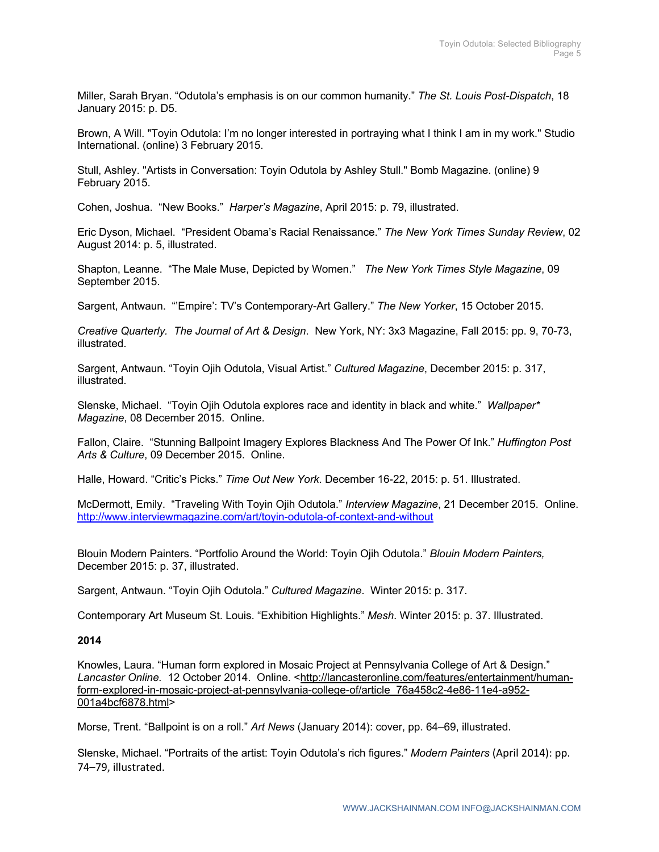Miller, Sarah Bryan. "Odutola's emphasis is on our common humanity." *The St. Louis Post-Dispatch*, 18 January 2015: p. D5.

Brown, A Will. "Toyin Odutola: I'm no longer interested in portraying what I think I am in my work." Studio International. (online) 3 February 2015.

Stull, Ashley. "Artists in Conversation: Toyin Odutola by Ashley Stull." Bomb Magazine. (online) 9 February 2015.

Cohen, Joshua. "New Books." *Harper's Magazine*, April 2015: p. 79, illustrated.

Eric Dyson, Michael. "President Obama's Racial Renaissance." *The New York Times Sunday Review*, 02 August 2014: p. 5, illustrated.

Shapton, Leanne. "The Male Muse, Depicted by Women." *The New York Times Style Magazine*, 09 September 2015.

Sargent, Antwaun. "'Empire': TV's Contemporary-Art Gallery." *The New Yorker*, 15 October 2015.

*Creative Quarterly. The Journal of Art & Design*. New York, NY: 3x3 Magazine, Fall 2015: pp. 9, 70-73, illustrated.

Sargent, Antwaun. "Toyin Ojih Odutola, Visual Artist." *Cultured Magazine*, December 2015: p. 317, illustrated.

Slenske, Michael. "Toyin Ojih Odutola explores race and identity in black and white." *Wallpaper\* Magazine*, 08 December 2015. Online.

Fallon, Claire. "Stunning Ballpoint Imagery Explores Blackness And The Power Of Ink." *Huffington Post Arts & Culture*, 09 December 2015. Online.

Halle, Howard. "Critic's Picks." *Time Out New York*. December 16-22, 2015: p. 51. Illustrated.

McDermott, Emily. "Traveling With Toyin Ojih Odutola." *Interview Magazine*, 21 December 2015. Online. http://www.interviewmagazine.com/art/toyin-odutola-of-context-and-without

Blouin Modern Painters. "Portfolio Around the World: Toyin Ojih Odutola." *Blouin Modern Painters,* December 2015: p. 37, illustrated.

Sargent, Antwaun. "Toyin Ojih Odutola." *Cultured Magazine*. Winter 2015: p. 317.

Contemporary Art Museum St. Louis. "Exhibition Highlights." *Mesh*. Winter 2015: p. 37. Illustrated.

### **2014**

Knowles, Laura. "Human form explored in Mosaic Project at Pennsylvania College of Art & Design." Lancaster Online. 12 October 2014. Online. <http://lancasteronline.com/features/entertainment/humanform-explored-in-mosaic-project-at-pennsylvania-college-of/article\_76a458c2-4e86-11e4-a952- 001a4bcf6878.html>

Morse, Trent. "Ballpoint is on a roll." *Art News* (January 2014): cover, pp. 64–69, illustrated.

Slenske, Michael. "Portraits of the artist: Toyin Odutola's rich figures." *Modern Painters* (April 2014): pp. 74–79, illustrated.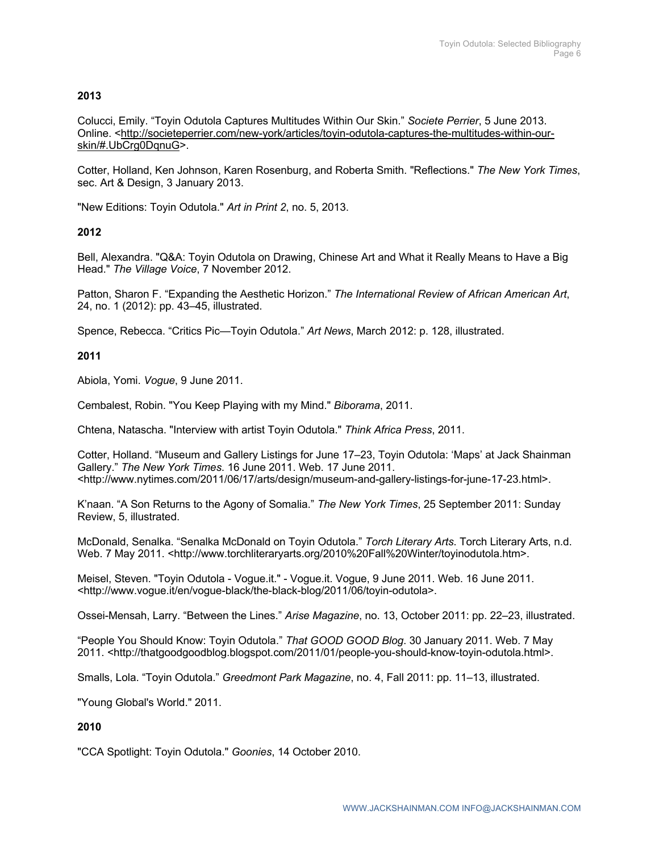# **2013**

Colucci, Emily. "Toyin Odutola Captures Multitudes Within Our Skin." *Societe Perrier*, 5 June 2013. Online. <http://societeperrier.com/new-york/articles/toyin-odutola-captures-the-multitudes-within-ourskin/#.UbCrg0DqnuG>.

Cotter, Holland, Ken Johnson, Karen Rosenburg, and Roberta Smith. "Reflections." *The New York Times*, sec. Art & Design, 3 January 2013.

"New Editions: Toyin Odutola." *Art in Print 2*, no. 5, 2013.

# **2012**

Bell, Alexandra. "Q&A: Toyin Odutola on Drawing, Chinese Art and What it Really Means to Have a Big Head." *The Village Voice*, 7 November 2012.

Patton, Sharon F. "Expanding the Aesthetic Horizon." *The International Review of African American Art*, 24, no. 1 (2012): pp. 43–45, illustrated.

Spence, Rebecca. "Critics Pic—Toyin Odutola." *Art News*, March 2012: p. 128, illustrated.

# **2011**

Abiola, Yomi. *Vogue*, 9 June 2011.

Cembalest, Robin. "You Keep Playing with my Mind." *Biborama*, 2011.

Chtena, Natascha. "Interview with artist Toyin Odutola." *Think Africa Press*, 2011.

Cotter, Holland. "Museum and Gallery Listings for June 17–23, Toyin Odutola: 'Maps' at Jack Shainman Gallery." *The New York Times*. 16 June 2011. Web. 17 June 2011. <http://www.nytimes.com/2011/06/17/arts/design/museum-and-gallery-listings-for-june-17-23.html>.

K'naan. "A Son Returns to the Agony of Somalia." *The New York Times*, 25 September 2011: Sunday Review, 5, illustrated.

McDonald, Senalka. "Senalka McDonald on Toyin Odutola." *Torch Literary Arts*. Torch Literary Arts, n.d. Web. 7 May 2011. <http://www.torchliteraryarts.org/2010%20Fall%20Winter/toyinodutola.htm>.

Meisel, Steven. "Toyin Odutola - Vogue.it." - Vogue.it. Vogue, 9 June 2011. Web. 16 June 2011. <http://www.vogue.it/en/vogue-black/the-black-blog/2011/06/toyin-odutola>.

Ossei-Mensah, Larry. "Between the Lines." *Arise Magazine*, no. 13, October 2011: pp. 22–23, illustrated.

"People You Should Know: Toyin Odutola." *That GOOD GOOD Blog*. 30 January 2011. Web. 7 May 2011. <http://thatgoodgoodblog.blogspot.com/2011/01/people-you-should-know-toyin-odutola.html>.

Smalls, Lola. "Toyin Odutola." *Greedmont Park Magazine*, no. 4, Fall 2011: pp. 11–13, illustrated.

"Young Global's World." 2011.

# **2010**

"CCA Spotlight: Toyin Odutola." *Goonies*, 14 October 2010.